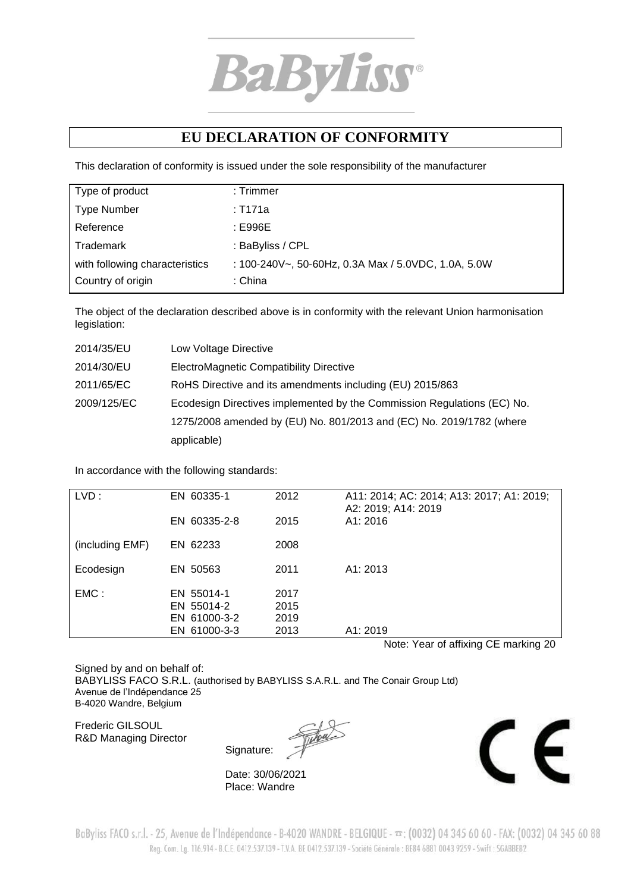

## **EU DECLARATION OF CONFORMITY**

This declaration of conformity is issued under the sole responsibility of the manufacturer

| Type of product                | $:$ Trimmer                                         |
|--------------------------------|-----------------------------------------------------|
| <b>Type Number</b>             | : T171a                                             |
| Reference                      | : E996E                                             |
| Trademark                      | : BaByliss / CPL                                    |
| with following characteristics | : 100-240V~, 50-60Hz, 0.3A Max / 5.0VDC, 1.0A, 5.0W |
| Country of origin              | :China                                              |

The object of the declaration described above is in conformity with the relevant Union harmonisation legislation:

| 2014/35/EU  | Low Voltage Directive                                                   |
|-------------|-------------------------------------------------------------------------|
| 2014/30/EU  | ElectroMagnetic Compatibility Directive                                 |
| 2011/65/EC  | RoHS Directive and its amendments including (EU) 2015/863               |
| 2009/125/EC | Ecodesign Directives implemented by the Commission Regulations (EC) No. |
|             | 1275/2008 amended by (EU) No. 801/2013 and (EC) No. 2019/1782 (where    |
|             | applicable)                                                             |

In accordance with the following standards:

| LVD:            | EN 60335-1<br>EN 60335-2-8 | 2012<br>2015 | A11: 2014; AC: 2014; A13: 2017; A1: 2019;<br>A2: 2019; A14: 2019<br>A1:2016 |
|-----------------|----------------------------|--------------|-----------------------------------------------------------------------------|
|                 |                            |              |                                                                             |
| (including EMF) | EN 62233                   | 2008         |                                                                             |
| Ecodesign       | EN 50563                   | 2011         | A1: 2013                                                                    |
| EMC:            | EN 55014-1<br>EN 55014-2   | 2017<br>2015 |                                                                             |
|                 | EN 61000-3-2               | 2019         |                                                                             |
|                 | EN 61000-3-3               | 2013         | A1: 2019                                                                    |

Note: Year of affixing CE marking 20

Signed by and on behalf of: BABYLISS FACO S.R.L. (authorised by BABYLISS S.A.R.L. and The Conair Group Ltd) Avenue de l'Indépendance 25 B-4020 Wandre, Belgium

Frederic GILSOUL R&D Managing Director

Signature:

Date: 30/06/2021 Place: Wandre



BaByliss FACO s.r.l. - 25, Avenue de l'Indépendance - B-4020 WANDRE - BELGIQUE -  $\pi$ : (0032) 04 345 60 60 - FAX: (0032) 04 345 60 88 Reg. Com. Lg. 116.914 - B.C.E. 0412.537.139 - T.V.A. BE 0412.537.139 - Société Générale : BE84 6881 0043 9259 - Swift : SGABBEB2